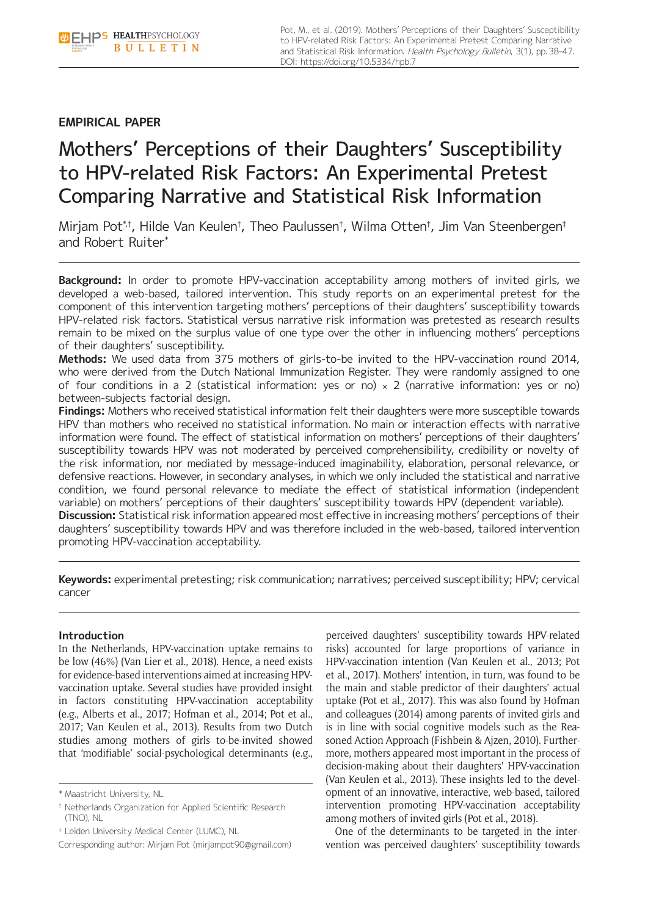Pot, M., et al. (2019). Mothers' Perceptions of their Daughters' Susceptibility to HPV-related Risk Factors: An Experimental Pretest Comparing Narrative and Statistical Risk Information. Health Psychology Bulletin, 3(1), pp. 38-47. DOI: <https://doi.org/10.5334/hpb.7>

# **EMPIRICAL PAPER**

# Mothers' Perceptions of their Daughters' Susceptibility to HPV-related Risk Factors: An Experimental Pretest Comparing Narrative and Statistical Risk Information

Mirjam Pot $^{\ast ,\dagger }$ , Hilde Van Keulen†, Theo Paulussen†, Wilma Otten†, Jim Van Steenbergen‡ and Robert Ruiter\*

**Background:** In order to promote HPV-vaccination acceptability among mothers of invited girls, we developed a web-based, tailored intervention. This study reports on an experimental pretest for the component of this intervention targeting mothers' perceptions of their daughters' susceptibility towards HPV-related risk factors. Statistical versus narrative risk information was pretested as research results remain to be mixed on the surplus value of one type over the other in influencing mothers' perceptions of their daughters' susceptibility.

**Methods:** We used data from 375 mothers of girls-to-be invited to the HPV-vaccination round 2014, who were derived from the Dutch National Immunization Register. They were randomly assigned to one of four conditions in a 2 (statistical information: yes or no)  $\times$  2 (narrative information: yes or no) between-subjects factorial design.

**Findings:** Mothers who received statistical information felt their daughters were more susceptible towards HPV than mothers who received no statistical information. No main or interaction effects with narrative information were found. The effect of statistical information on mothers' perceptions of their daughters' susceptibility towards HPV was not moderated by perceived comprehensibility, credibility or novelty of the risk information, nor mediated by message-induced imaginability, elaboration, personal relevance, or defensive reactions. However, in secondary analyses, in which we only included the statistical and narrative condition, we found personal relevance to mediate the effect of statistical information (independent variable) on mothers' perceptions of their daughters' susceptibility towards HPV (dependent variable). **Discussion:** Statistical risk information appeared most effective in increasing mothers' perceptions of their daughters' susceptibility towards HPV and was therefore included in the web-based, tailored intervention promoting HPV-vaccination acceptability.

**Keywords:** experimental pretesting; risk communication; narratives; perceived susceptibility; HPV; cervical cancer

# **Introduction**

In the Netherlands, HPV-vaccination uptake remains to be low (46%) (Van Lier et al., 2018). Hence, a need exists for evidence-based interventions aimed at increasing HPVvaccination uptake. Several studies have provided insight in factors constituting HPV-vaccination acceptability (e.g., Alberts et al., 2017; Hofman et al., 2014; Pot et al., 2017; Van Keulen et al., 2013). Results from two Dutch studies among mothers of girls to-be-invited showed that 'modifiable' social-psychological determinants (e.g.,

perceived daughters' susceptibility towards HPV-related risks) accounted for large proportions of variance in HPV-vaccination intention (Van Keulen et al., 2013; Pot et al., 2017). Mothers' intention, in turn, was found to be the main and stable predictor of their daughters' actual uptake (Pot et al., 2017). This was also found by Hofman and colleagues (2014) among parents of invited girls and is in line with social cognitive models such as the Reasoned Action Approach (Fishbein & Ajzen, 2010). Furthermore, mothers appeared most important in the process of decision-making about their daughters' HPV-vaccination (Van Keulen et al., 2013). These insights led to the development of an innovative, interactive, web-based, tailored intervention promoting HPV-vaccination acceptability among mothers of invited girls (Pot et al., 2018).

One of the determinants to be targeted in the intervention was perceived daughters' susceptibility towards

<sup>\*</sup> Maastricht University, NL

<sup>†</sup> Netherlands Organization for Applied Scientific Research (TNO), NL

<sup>‡</sup> Leiden University Medical Center (LUMC), NL

Corresponding author: Mirjam Pot [\(mirjampot90@gmail.com](mailto:mirjampot90@gmail.com))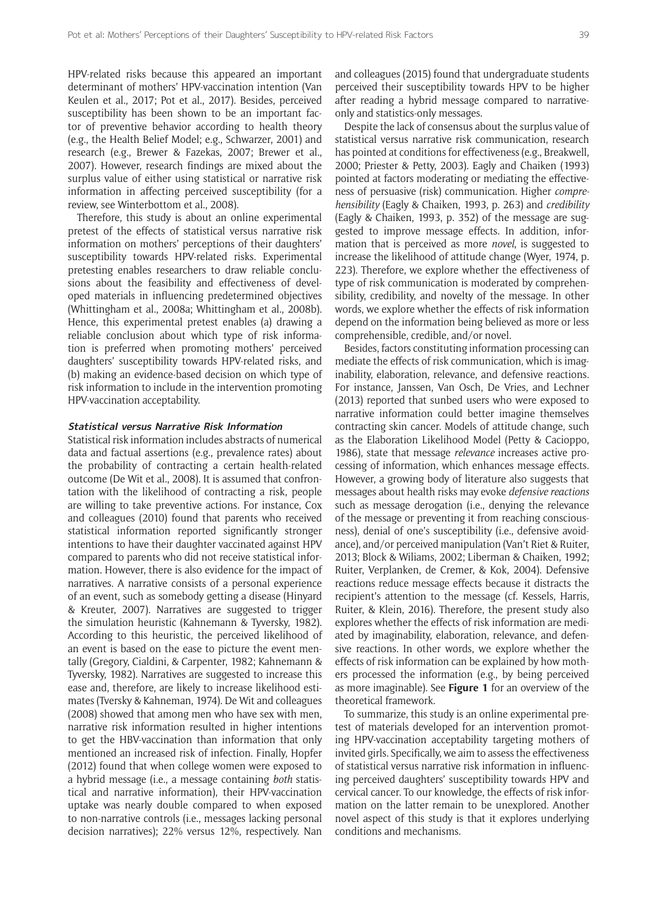HPV-related risks because this appeared an important determinant of mothers' HPV-vaccination intention (Van Keulen et al., 2017; Pot et al., 2017). Besides, perceived susceptibility has been shown to be an important factor of preventive behavior according to health theory (e.g., the Health Belief Model; e.g., Schwarzer, 2001) and research (e.g., Brewer & Fazekas, 2007; Brewer et al., 2007). However, research findings are mixed about the surplus value of either using statistical or narrative risk information in affecting perceived susceptibility (for a review, see Winterbottom et al., 2008).

Therefore, this study is about an online experimental pretest of the effects of statistical versus narrative risk information on mothers' perceptions of their daughters' susceptibility towards HPV-related risks. Experimental pretesting enables researchers to draw reliable conclusions about the feasibility and effectiveness of developed materials in influencing predetermined objectives (Whittingham et al., 2008a; Whittingham et al., 2008b). Hence, this experimental pretest enables (a) drawing a reliable conclusion about which type of risk information is preferred when promoting mothers' perceived daughters' susceptibility towards HPV-related risks, and (b) making an evidence-based decision on which type of risk information to include in the intervention promoting HPV-vaccination acceptability.

### **Statistical versus Narrative Risk Information**

Statistical risk information includes abstracts of numerical data and factual assertions (e.g., prevalence rates) about the probability of contracting a certain health-related outcome (De Wit et al., 2008). It is assumed that confrontation with the likelihood of contracting a risk, people are willing to take preventive actions. For instance, Cox and colleagues (2010) found that parents who received statistical information reported significantly stronger intentions to have their daughter vaccinated against HPV compared to parents who did not receive statistical information. However, there is also evidence for the impact of narratives. A narrative consists of a personal experience of an event, such as somebody getting a disease (Hinyard & Kreuter, 2007). Narratives are suggested to trigger the simulation heuristic (Kahnemann & Tyversky, 1982). According to this heuristic, the perceived likelihood of an event is based on the ease to picture the event mentally (Gregory, Cialdini, & Carpenter, 1982; Kahnemann & Tyversky, 1982). Narratives are suggested to increase this ease and, therefore, are likely to increase likelihood estimates (Tversky & Kahneman, 1974). De Wit and colleagues (2008) showed that among men who have sex with men, narrative risk information resulted in higher intentions to get the HBV-vaccination than information that only mentioned an increased risk of infection. Finally, Hopfer (2012) found that when college women were exposed to a hybrid message (i.e., a message containing *both* statistical and narrative information), their HPV-vaccination uptake was nearly double compared to when exposed to non-narrative controls (i.e., messages lacking personal decision narratives); 22% versus 12%, respectively. Nan

and colleagues (2015) found that undergraduate students perceived their susceptibility towards HPV to be higher after reading a hybrid message compared to narrativeonly and statistics-only messages.

Despite the lack of consensus about the surplus value of statistical versus narrative risk communication, research has pointed at conditions for effectiveness (e.g., Breakwell, 2000; Priester & Petty, 2003). Eagly and Chaiken (1993) pointed at factors moderating or mediating the effectiveness of persuasive (risk) communication. Higher *comprehensibility* (Eagly & Chaiken, 1993, p. 263) and *credibility* (Eagly & Chaiken, 1993, p. 352) of the message are suggested to improve message effects. In addition, information that is perceived as more *novel*, is suggested to increase the likelihood of attitude change (Wyer, 1974, p. 223). Therefore, we explore whether the effectiveness of type of risk communication is moderated by comprehensibility, credibility, and novelty of the message. In other words, we explore whether the effects of risk information depend on the information being believed as more or less comprehensible, credible, and/or novel.

Besides, factors constituting information processing can mediate the effects of risk communication, which is imaginability, elaboration, relevance, and defensive reactions. For instance, Janssen, Van Osch, De Vries, and Lechner (2013) reported that sunbed users who were exposed to narrative information could better imagine themselves contracting skin cancer. Models of attitude change, such as the Elaboration Likelihood Model (Petty & Cacioppo, 1986), state that message *relevance* increases active processing of information, which enhances message effects. However, a growing body of literature also suggests that messages about health risks may evoke *defensive reactions* such as message derogation (i.e., denying the relevance of the message or preventing it from reaching consciousness), denial of one's susceptibility (i.e., defensive avoidance), and/or perceived manipulation (Van't Riet & Ruiter, 2013; Block & Wiliams, 2002; Liberman & Chaiken, 1992; Ruiter, Verplanken, de Cremer, & Kok, 2004). Defensive reactions reduce message effects because it distracts the recipient's attention to the message (cf. Kessels, Harris, Ruiter, & Klein, 2016). Therefore, the present study also explores whether the effects of risk information are mediated by imaginability, elaboration, relevance, and defensive reactions. In other words, we explore whether the effects of risk information can be explained by how mothers processed the information (e.g., by being perceived as more imaginable). See **Figure 1** for an overview of the theoretical framework.

To summarize, this study is an online experimental pretest of materials developed for an intervention promoting HPV-vaccination acceptability targeting mothers of invited girls. Specifically, we aim to assess the effectiveness of statistical versus narrative risk information in influencing perceived daughters' susceptibility towards HPV and cervical cancer. To our knowledge, the effects of risk information on the latter remain to be unexplored. Another novel aspect of this study is that it explores underlying conditions and mechanisms.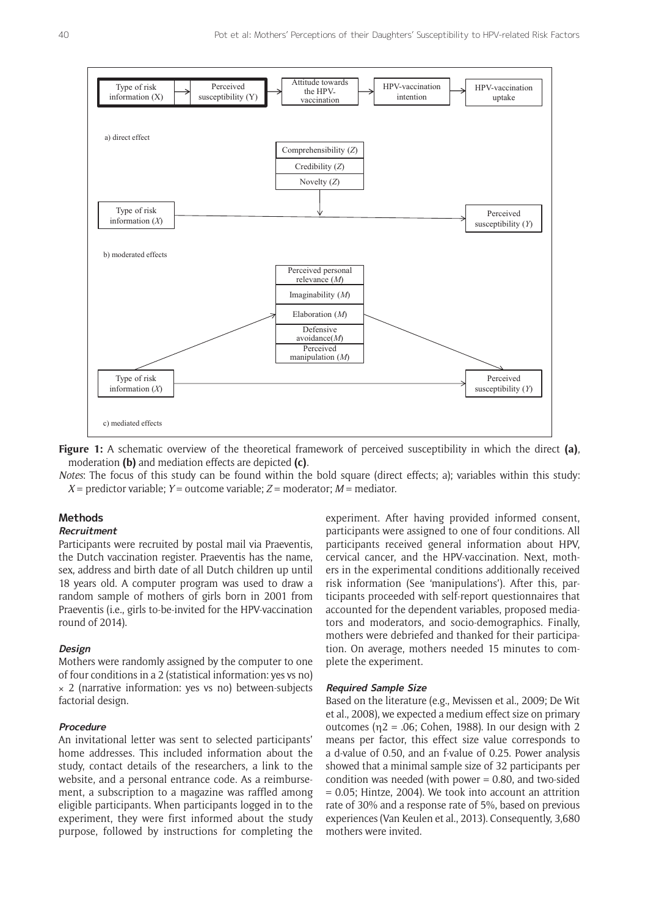

**Figure 1:** A schematic overview of the theoretical framework of perceived susceptibility in which the direct **(a)**, moderation **(b)** and mediation effects are depicted **(c)**.

*Notes*: The focus of this study can be found within the bold square (direct effects; a); variables within this study:  $X =$  predictor variable;  $Y =$  outcome variable;  $Z =$  moderator;  $M =$  mediator.

# **Methods**

# **Recruitment**

Participants were recruited by postal mail via Praeventis, the Dutch vaccination register. Praeventis has the name, sex, address and birth date of all Dutch children up until 18 years old. A computer program was used to draw a random sample of mothers of girls born in 2001 from Praeventis (i.e., girls to-be-invited for the HPV-vaccination round of 2014).

### **Design**

Mothers were randomly assigned by the computer to one of four conditions in a 2 (statistical information: yes vs no)  $\times$  2 (narrative information: yes vs no) between-subjects factorial design.

### **Procedure**

An invitational letter was sent to selected participants' home addresses. This included information about the study, contact details of the researchers, a link to the website, and a personal entrance code. As a reimbursement, a subscription to a magazine was raffled among eligible participants. When participants logged in to the experiment, they were first informed about the study purpose, followed by instructions for completing the

experiment. After having provided informed consent, participants were assigned to one of four conditions. All participants received general information about HPV, cervical cancer, and the HPV-vaccination. Next, mothers in the experimental conditions additionally received risk information (See 'manipulations'). After this, participants proceeded with self-report questionnaires that accounted for the dependent variables, proposed mediators and moderators, and socio-demographics. Finally, mothers were debriefed and thanked for their participation. On average, mothers needed 15 minutes to complete the experiment.

# **Required Sample Size**

Based on the literature (e.g., Mevissen et al., 2009; De Wit et al., 2008), we expected a medium effect size on primary outcomes ( $η2 = .06$ ; Cohen, 1988). In our design with 2 means per factor, this effect size value corresponds to a d-value of 0.50, and an f-value of 0.25. Power analysis showed that a minimal sample size of 32 participants per condition was needed (with power  $= 0.80$ , and two-sided = 0.05; Hintze, 2004). We took into account an attrition rate of 30% and a response rate of 5%, based on previous experiences (Van Keulen et al., 2013). Consequently, 3,680 mothers were invited.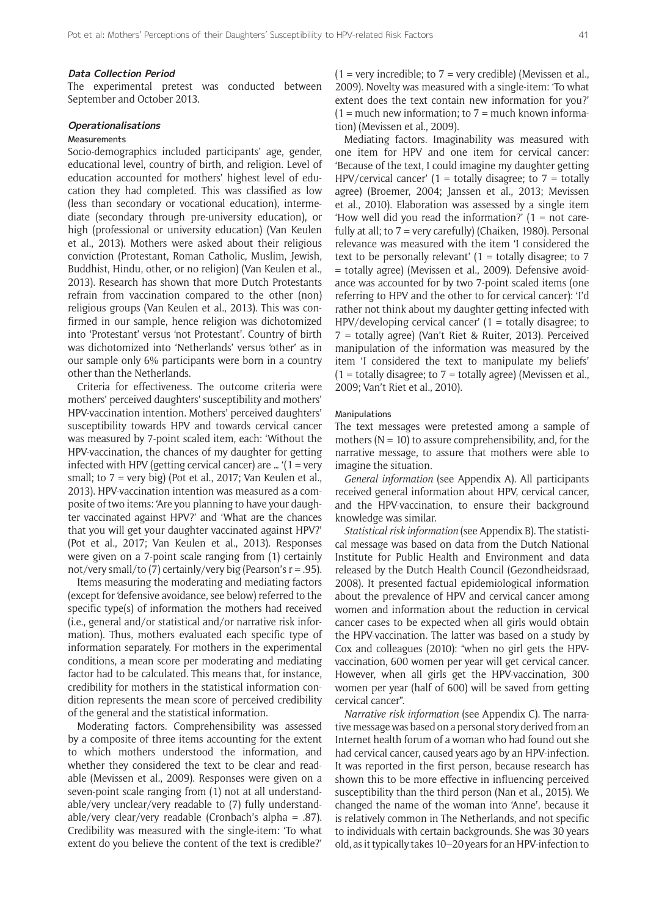#### **Data Collection Period**

The experimental pretest was conducted between September and October 2013.

#### **Operationalisations**

# **Measurements**

Socio-demographics included participants' age, gender, educational level, country of birth, and religion. Level of education accounted for mothers' highest level of education they had completed. This was classified as low (less than secondary or vocational education), intermediate (secondary through pre-university education), or high (professional or university education) (Van Keulen et al., 2013). Mothers were asked about their religious conviction (Protestant, Roman Catholic, Muslim, Jewish, Buddhist, Hindu, other, or no religion) (Van Keulen et al., 2013). Research has shown that more Dutch Protestants refrain from vaccination compared to the other (non) religious groups (Van Keulen et al., 2013). This was confirmed in our sample, hence religion was dichotomized into 'Protestant' versus 'not Protestant'. Country of birth was dichotomized into 'Netherlands' versus 'other' as in our sample only 6% participants were born in a country other than the Netherlands.

Criteria for effectiveness. The outcome criteria were mothers' perceived daughters' susceptibility and mothers' HPV-vaccination intention. Mothers' perceived daughters' susceptibility towards HPV and towards cervical cancer was measured by 7-point scaled item, each: 'Without the HPV-vaccination, the chances of my daughter for getting infected with HPV (getting cervical cancer) are ...  $(1 = \text{very}$ small; to  $7 = \text{very big}$  (Pot et al., 2017; Van Keulen et al., 2013). HPV-vaccination intention was measured as a composite of two items: 'Are you planning to have your daughter vaccinated against HPV?' and 'What are the chances that you will get your daughter vaccinated against HPV?' (Pot et al., 2017; Van Keulen et al., 2013). Responses were given on a 7-point scale ranging from (1) certainly not/very small/to (7) certainly/very big (Pearson's  $r = .95$ ).

Items measuring the moderating and mediating factors (except for 'defensive avoidance, see below) referred to the specific type(s) of information the mothers had received (i.e., general and/or statistical and/or narrative risk information). Thus, mothers evaluated each specific type of information separately. For mothers in the experimental conditions, a mean score per moderating and mediating factor had to be calculated. This means that, for instance, credibility for mothers in the statistical information condition represents the mean score of perceived credibility of the general and the statistical information.

Moderating factors. Comprehensibility was assessed by a composite of three items accounting for the extent to which mothers understood the information, and whether they considered the text to be clear and readable (Mevissen et al., 2009). Responses were given on a seven-point scale ranging from (1) not at all understandable/very unclear/very readable to (7) fully understandable/very clear/very readable (Cronbach's alpha = .87). Credibility was measured with the single-item: 'To what extent do you believe the content of the text is credible?'

 $(1 = \text{very} \text{ incredible}; \text{to } 7 = \text{very} \text{ credible})$  (Mevissen et al., 2009). Novelty was measured with a single-item: 'To what extent does the text contain new information for you?'  $(1 =$  much new information; to  $7 =$  much known information) (Mevissen et al., 2009).

Mediating factors. Imaginability was measured with one item for HPV and one item for cervical cancer: 'Because of the text, I could imagine my daughter getting HPV/cervical cancer'  $(1 =$  totally disagree; to  $7 =$  totally agree) (Broemer, 2004; Janssen et al., 2013; Mevissen et al., 2010). Elaboration was assessed by a single item 'How well did you read the information?'  $(1 = not care$ fully at all; to 7 = very carefully) (Chaiken, 1980). Personal relevance was measured with the item 'I considered the text to be personally relevant'  $(1 =$  totally disagree; to 7 = totally agree) (Mevissen et al., 2009). Defensive avoidance was accounted for by two 7-point scaled items (one referring to HPV and the other to for cervical cancer): 'I'd rather not think about my daughter getting infected with  $HPV/$ developing cervical cancer'  $(1 =$  totally disagree; to 7 = totally agree) (Van't Riet & Ruiter, 2013). Perceived manipulation of the information was measured by the item 'I considered the text to manipulate my beliefs'  $(1 =$  totally disagree; to  $7 =$  totally agree) (Mevissen et al., 2009; Van't Riet et al., 2010).

#### Manipulations

The text messages were pretested among a sample of mothers ( $N = 10$ ) to assure comprehensibility, and, for the narrative message, to assure that mothers were able to imagine the situation.

*General information* (see Appendix A). All participants received general information about HPV, cervical cancer, and the HPV-vaccination, to ensure their background knowledge was similar.

*Statistical risk information* (see Appendix B). The statistical message was based on data from the Dutch National Institute for Public Health and Environment and data released by the Dutch Health Council (Gezondheidsraad, 2008). It presented factual epidemiological information about the prevalence of HPV and cervical cancer among women and information about the reduction in cervical cancer cases to be expected when all girls would obtain the HPV-vaccination. The latter was based on a study by Cox and colleagues (2010): "when no girl gets the HPVvaccination, 600 women per year will get cervical cancer. However, when all girls get the HPV-vaccination, 300 women per year (half of 600) will be saved from getting cervical cancer".

*Narrative risk information* (see Appendix C). The narrative message was based on a personal story derived from an Internet health forum of a woman who had found out she had cervical cancer, caused years ago by an HPV-infection. It was reported in the first person, because research has shown this to be more effective in influencing perceived susceptibility than the third person (Nan et al., 2015). We changed the name of the woman into 'Anne', because it is relatively common in The Netherlands, and not specific to individuals with certain backgrounds. She was 30 years old, as it typically takes 10–20 years for an HPV-infection to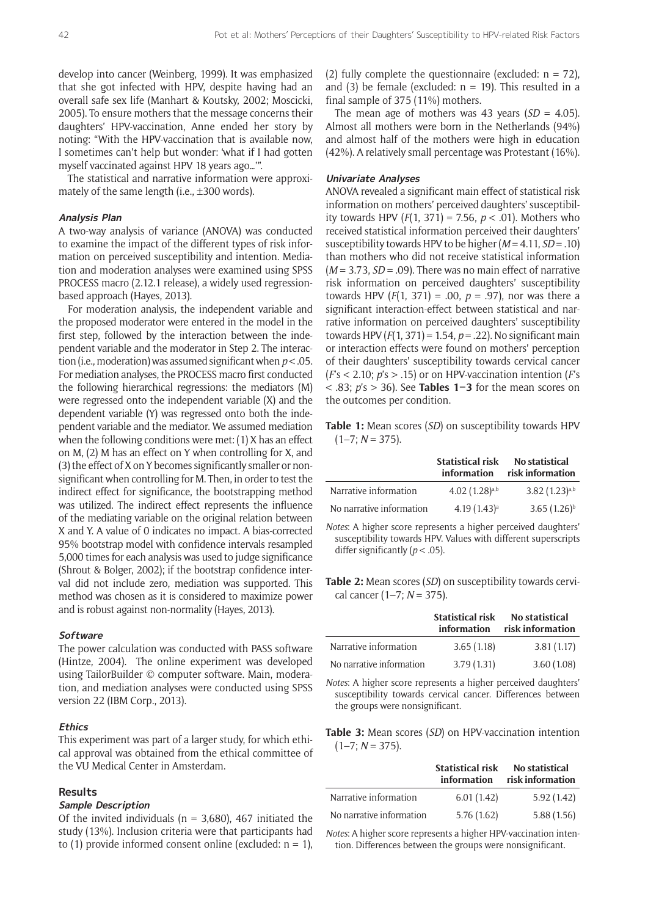develop into cancer (Weinberg, 1999). It was emphasized that she got infected with HPV, despite having had an overall safe sex life (Manhart & Koutsky, 2002; Moscicki, 2005). To ensure mothers that the message concerns their daughters' HPV-vaccination, Anne ended her story by noting: "With the HPV-vaccination that is available now, I sometimes can't help but wonder: 'what if I had gotten myself vaccinated against HPV 18 years ago…'".

The statistical and narrative information were approximately of the same length (i.e., ±300 words).

### **Analysis Plan**

A two-way analysis of variance (ANOVA) was conducted to examine the impact of the different types of risk information on perceived susceptibility and intention. Mediation and moderation analyses were examined using SPSS PROCESS macro (2.12.1 release), a widely used regressionbased approach (Hayes, 2013).

For moderation analysis, the independent variable and the proposed moderator were entered in the model in the first step, followed by the interaction between the independent variable and the moderator in Step 2. The interaction (i.e., moderation) was assumed significant when *p* < .05. For mediation analyses, the PROCESS macro first conducted the following hierarchical regressions: the mediators (M) were regressed onto the independent variable (X) and the dependent variable (Y) was regressed onto both the independent variable and the mediator. We assumed mediation when the following conditions were met: (1) X has an effect on M, (2) M has an effect on Y when controlling for X, and (3) the effect of X on Y becomes significantly smaller or nonsignificant when controlling for M. Then, in order to test the indirect effect for significance, the bootstrapping method was utilized. The indirect effect represents the influence of the mediating variable on the original relation between X and Y. A value of 0 indicates no impact. A bias-corrected 95% bootstrap model with confidence intervals resampled 5,000 times for each analysis was used to judge significance (Shrout & Bolger, 2002); if the bootstrap confidence interval did not include zero, mediation was supported. This method was chosen as it is considered to maximize power and is robust against non-normality (Hayes, 2013).

# **Software**

The power calculation was conducted with PASS software (Hintze, 2004). The online experiment was developed using TailorBuilder © computer software. Main, moderation, and mediation analyses were conducted using SPSS version 22 (IBM Corp., 2013).

#### **Ethics**

This experiment was part of a larger study, for which ethical approval was obtained from the ethical committee of the VU Medical Center in Amsterdam.

# **Results**

#### **Sample Description**

Of the invited individuals ( $n = 3,680$ ), 467 initiated the study (13%). Inclusion criteria were that participants had to (1) provide informed consent online (excluded:  $n = 1$ ), (2) fully complete the questionnaire (excluded:  $n = 72$ ), and (3) be female (excluded:  $n = 19$ ). This resulted in a final sample of 375 (11%) mothers.

The mean age of mothers was 43 years  $(SD = 4.05)$ . Almost all mothers were born in the Netherlands (94%) and almost half of the mothers were high in education (42%). A relatively small percentage was Protestant (16%).

#### **Univariate Analyses**

ANOVA revealed a significant main effect of statistical risk information on mothers' perceived daughters' susceptibility towards HPV (*F*(1, 371) = 7.56, *p* < .01). Mothers who received statistical information perceived their daughters' susceptibility towards HPV to be higher (*M* = 4.11, *SD* = .10) than mothers who did not receive statistical information (*M* = 3.73, *SD* = .09). There was no main effect of narrative risk information on perceived daughters' susceptibility towards HPV  $(F(1, 371) = .00, p = .97)$ , nor was there a significant interaction-effect between statistical and narrative information on perceived daughters' susceptibility towards HPV (*F*(1, 371) = 1.54, *p* = .22). No significant main or interaction effects were found on mothers' perception of their daughters' susceptibility towards cervical cancer (*F*'s < 2.10; *p*'s > .15) or on HPV-vaccination intention (*F*'s < .83; *p*'s > 36). See **Tables 1–3** for the mean scores on the outcomes per condition.

**Table 1:** Mean scores (*SD*) on susceptibility towards HPV  $(1-7; N = 375).$ 

|                          | <b>Statistical risk</b><br>information | No statistical<br>risk information |
|--------------------------|----------------------------------------|------------------------------------|
| Narrative information    | $4.02(1.28)$ <sup>a,b</sup>            | $3.82(1.23)^{a,b}$                 |
| No narrative information | $4.19(1.43)^a$                         | $3.65(1.26)^{b}$                   |

*Notes*: A higher score represents a higher perceived daughters' susceptibility towards HPV. Values with different superscripts differ significantly (*p* < .05).

**Table 2:** Mean scores (*SD*) on susceptibility towards cervical cancer (1–7; *N* = 375).

|                          | <b>Statistical risk</b><br>information | <b>No statistical</b><br>risk information |
|--------------------------|----------------------------------------|-------------------------------------------|
| Narrative information    | 3.65(1.18)                             | 3.81(1.17)                                |
| No narrative information | 3.79(1.31)                             | 3.60(1.08)                                |

*Notes*: A higher score represents a higher perceived daughters' susceptibility towards cervical cancer. Differences between the groups were nonsignificant.

**Table 3:** Mean scores (*SD*) on HPV-vaccination intention  $(1-7; N = 375).$ 

|                          | <b>Statistical risk</b><br>information | No statistical<br>risk information |
|--------------------------|----------------------------------------|------------------------------------|
| Narrative information    | 6.01(1.42)                             | 5.92(1.42)                         |
| No narrative information | 5.76(1.62)                             | 5.88(1.56)                         |

*Notes*: A higher score represents a higher HPV-vaccination intention. Differences between the groups were nonsignificant.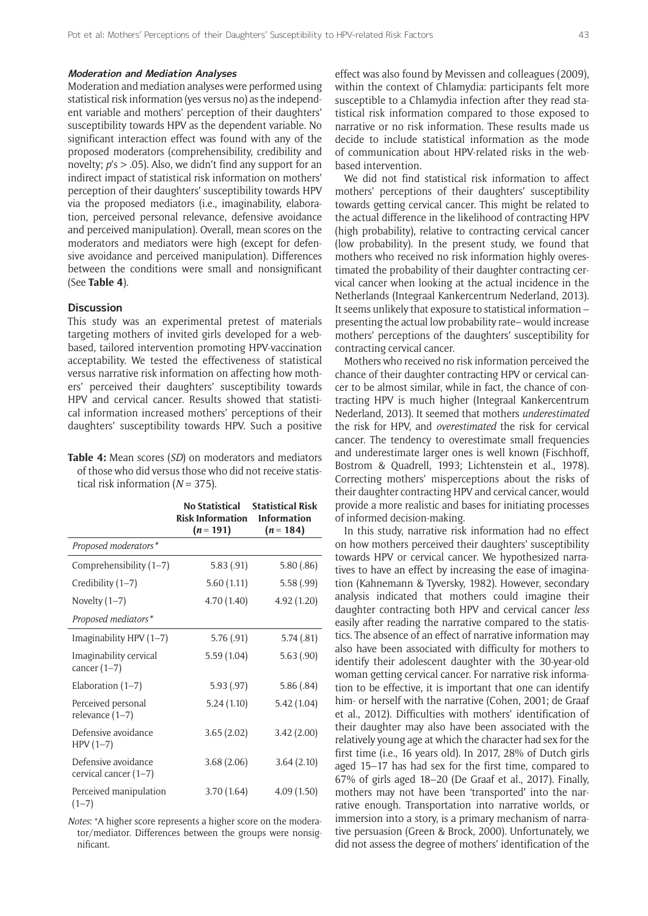#### **Moderation and Mediation Analyses**

Moderation and mediation analyses were performed using statistical risk information (yes versus no) as the independent variable and mothers' perception of their daughters' susceptibility towards HPV as the dependent variable. No significant interaction effect was found with any of the proposed moderators (comprehensibility, credibility and novelty; *p*'s > .05). Also, we didn't find any support for an indirect impact of statistical risk information on mothers' perception of their daughters' susceptibility towards HPV via the proposed mediators (i.e., imaginability, elaboration, perceived personal relevance, defensive avoidance and perceived manipulation). Overall, mean scores on the moderators and mediators were high (except for defensive avoidance and perceived manipulation). Differences between the conditions were small and nonsignificant (See **Table 4**).

# **Discussion**

This study was an experimental pretest of materials targeting mothers of invited girls developed for a webbased, tailored intervention promoting HPV-vaccination acceptability. We tested the effectiveness of statistical versus narrative risk information on affecting how mothers' perceived their daughters' susceptibility towards HPV and cervical cancer. Results showed that statistical information increased mothers' perceptions of their daughters' susceptibility towards HPV. Such a positive

**Table 4:** Mean scores (*SD*) on moderators and mediators of those who did versus those who did not receive statistical risk information (*N* = 375).

|                                              | <b>No Statistical</b><br><b>Risk Information</b><br>$(n = 191)$ | <b>Statistical Risk</b><br><b>Information</b><br>$(n = 184)$ |
|----------------------------------------------|-----------------------------------------------------------------|--------------------------------------------------------------|
| Proposed moderators*                         |                                                                 |                                                              |
| Comprehensibility $(1-7)$                    | 5.83(.91)                                                       | 5.80(.86)                                                    |
| Credibility (1-7)                            | 5.60(1.11)                                                      | 5.58(.99)                                                    |
| Novelty $(1-7)$                              | 4.70 (1.40)                                                     | 4.92(1.20)                                                   |
| Proposed mediators*                          |                                                                 |                                                              |
| Imaginability HPV (1-7)                      | 5.76(.91)                                                       | 5.74(.81)                                                    |
| Imaginability cervical<br>cancer $(1-7)$     | 5.59(1.04)                                                      | 5.63(.90)                                                    |
| Elaboration $(1-7)$                          | 5.93(.97)                                                       | 5.86(.84)                                                    |
| Perceived personal<br>relevance $(1-7)$      | 5.24(1.10)                                                      | 5.42(1.04)                                                   |
| Defensive avoidance<br>$HPV(1-7)$            | 3.65(2.02)                                                      | 3.42(2.00)                                                   |
| Defensive avoidance<br>cervical cancer (1-7) | 3.68(2.06)                                                      | 3.64(2.10)                                                   |
| Perceived manipulation<br>$(1-7)$            | 3.70(1.64)                                                      | 4.09(1.50)                                                   |

*Notes*: \*A higher score represents a higher score on the moderator/mediator. Differences between the groups were nonsignificant.

effect was also found by Mevissen and colleagues (2009), within the context of Chlamydia: participants felt more susceptible to a Chlamydia infection after they read statistical risk information compared to those exposed to narrative or no risk information. These results made us decide to include statistical information as the mode of communication about HPV-related risks in the webbased intervention.

We did not find statistical risk information to affect mothers' perceptions of their daughters' susceptibility towards getting cervical cancer. This might be related to the actual difference in the likelihood of contracting HPV (high probability), relative to contracting cervical cancer (low probability). In the present study, we found that mothers who received no risk information highly overestimated the probability of their daughter contracting cervical cancer when looking at the actual incidence in the Netherlands (Integraal Kankercentrum Nederland, 2013). It seems unlikely that exposure to statistical information – presenting the actual low probability rate– would increase mothers' perceptions of the daughters' susceptibility for contracting cervical cancer.

Mothers who received no risk information perceived the chance of their daughter contracting HPV or cervical cancer to be almost similar, while in fact, the chance of contracting HPV is much higher (Integraal Kankercentrum Nederland, 2013). It seemed that mothers *underestimated* the risk for HPV, and *overestimated* the risk for cervical cancer. The tendency to overestimate small frequencies and underestimate larger ones is well known (Fischhoff, Bostrom & Quadrell, 1993; Lichtenstein et al., 1978). Correcting mothers' misperceptions about the risks of their daughter contracting HPV and cervical cancer, would provide a more realistic and bases for initiating processes of informed decision-making.

In this study, narrative risk information had no effect on how mothers perceived their daughters' susceptibility towards HPV or cervical cancer. We hypothesized narratives to have an effect by increasing the ease of imagination (Kahnemann & Tyversky, 1982). However, secondary analysis indicated that mothers could imagine their daughter contracting both HPV and cervical cancer *less* easily after reading the narrative compared to the statistics. The absence of an effect of narrative information may also have been associated with difficulty for mothers to identify their adolescent daughter with the 30-year-old woman getting cervical cancer. For narrative risk information to be effective, it is important that one can identify him- or herself with the narrative (Cohen, 2001; de Graaf et al., 2012). Difficulties with mothers' identification of their daughter may also have been associated with the relatively young age at which the character had sex for the first time (i.e., 16 years old). In 2017, 28% of Dutch girls aged 15–17 has had sex for the first time, compared to 67% of girls aged 18–20 (De Graaf et al., 2017). Finally, mothers may not have been 'transported' into the narrative enough. Transportation into narrative worlds, or immersion into a story, is a primary mechanism of narrative persuasion (Green & Brock, 2000). Unfortunately, we did not assess the degree of mothers' identification of the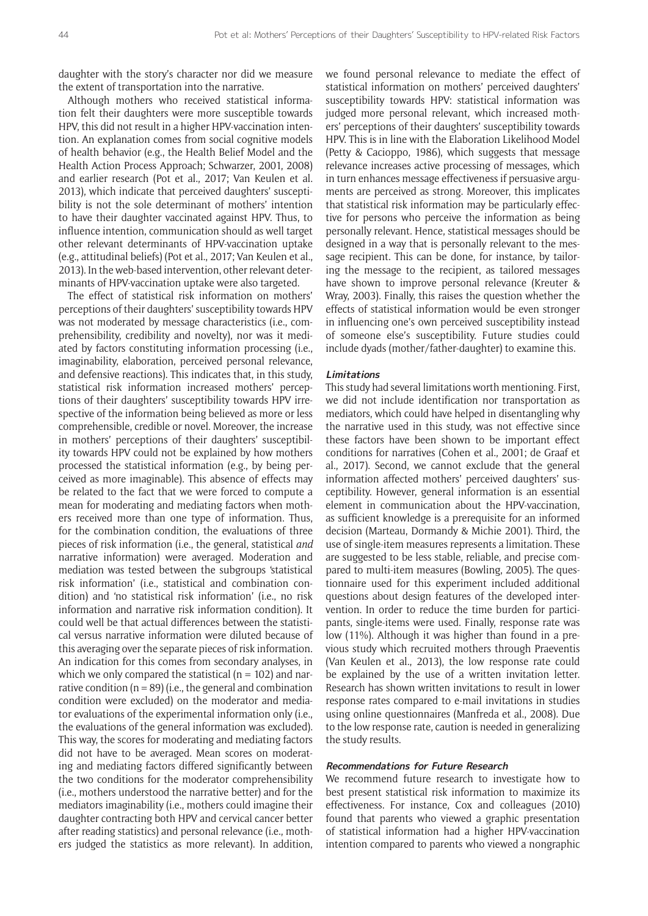daughter with the story's character nor did we measure the extent of transportation into the narrative.

Although mothers who received statistical information felt their daughters were more susceptible towards HPV, this did not result in a higher HPV-vaccination intention. An explanation comes from social cognitive models of health behavior (e.g., the Health Belief Model and the Health Action Process Approach; Schwarzer, 2001, 2008) and earlier research (Pot et al., 2017; Van Keulen et al. 2013), which indicate that perceived daughters' susceptibility is not the sole determinant of mothers' intention to have their daughter vaccinated against HPV. Thus, to influence intention, communication should as well target other relevant determinants of HPV-vaccination uptake (e.g., attitudinal beliefs) (Pot et al., 2017; Van Keulen et al., 2013). In the web-based intervention, other relevant determinants of HPV-vaccination uptake were also targeted.

The effect of statistical risk information on mothers' perceptions of their daughters' susceptibility towards HPV was not moderated by message characteristics (i.e., comprehensibility, credibility and novelty), nor was it mediated by factors constituting information processing (i.e., imaginability, elaboration, perceived personal relevance, and defensive reactions). This indicates that, in this study, statistical risk information increased mothers' perceptions of their daughters' susceptibility towards HPV irrespective of the information being believed as more or less comprehensible, credible or novel. Moreover, the increase in mothers' perceptions of their daughters' susceptibility towards HPV could not be explained by how mothers processed the statistical information (e.g., by being perceived as more imaginable). This absence of effects may be related to the fact that we were forced to compute a mean for moderating and mediating factors when mothers received more than one type of information. Thus, for the combination condition, the evaluations of three pieces of risk information (i.e., the general, statistical *and* narrative information) were averaged. Moderation and mediation was tested between the subgroups 'statistical risk information' (i.e., statistical and combination condition) and 'no statistical risk information' (i.e., no risk information and narrative risk information condition). It could well be that actual differences between the statistical versus narrative information were diluted because of this averaging over the separate pieces of risk information. An indication for this comes from secondary analyses, in which we only compared the statistical ( $n = 102$ ) and narrative condition ( $n = 89$ ) (i.e., the general and combination condition were excluded) on the moderator and mediator evaluations of the experimental information only (i.e., the evaluations of the general information was excluded). This way, the scores for moderating and mediating factors did not have to be averaged. Mean scores on moderating and mediating factors differed significantly between the two conditions for the moderator comprehensibility (i.e., mothers understood the narrative better) and for the mediators imaginability (i.e., mothers could imagine their daughter contracting both HPV and cervical cancer better after reading statistics) and personal relevance (i.e., mothers judged the statistics as more relevant). In addition, we found personal relevance to mediate the effect of statistical information on mothers' perceived daughters' susceptibility towards HPV: statistical information was judged more personal relevant, which increased mothers' perceptions of their daughters' susceptibility towards HPV. This is in line with the Elaboration Likelihood Model (Petty & Cacioppo, 1986), which suggests that message relevance increases active processing of messages, which in turn enhances message effectiveness if persuasive arguments are perceived as strong. Moreover, this implicates that statistical risk information may be particularly effective for persons who perceive the information as being personally relevant. Hence, statistical messages should be designed in a way that is personally relevant to the message recipient. This can be done, for instance, by tailoring the message to the recipient, as tailored messages have shown to improve personal relevance (Kreuter & Wray, 2003). Finally, this raises the question whether the effects of statistical information would be even stronger in influencing one's own perceived susceptibility instead of someone else's susceptibility. Future studies could include dyads (mother/father-daughter) to examine this.

#### **Limitations**

This study had several limitations worth mentioning. First, we did not include identification nor transportation as mediators, which could have helped in disentangling why the narrative used in this study, was not effective since these factors have been shown to be important effect conditions for narratives (Cohen et al., 2001; de Graaf et al., 2017). Second, we cannot exclude that the general information affected mothers' perceived daughters' susceptibility. However, general information is an essential element in communication about the HPV-vaccination, as sufficient knowledge is a prerequisite for an informed decision (Marteau, Dormandy & Michie 2001). Third, the use of single-item measures represents a limitation. These are suggested to be less stable, reliable, and precise compared to multi-item measures (Bowling, 2005). The questionnaire used for this experiment included additional questions about design features of the developed intervention. In order to reduce the time burden for participants, single-items were used. Finally, response rate was low (11%). Although it was higher than found in a previous study which recruited mothers through Praeventis (Van Keulen et al., 2013), the low response rate could be explained by the use of a written invitation letter. Research has shown written invitations to result in lower response rates compared to e-mail invitations in studies using online questionnaires (Manfreda et al., 2008). Due to the low response rate, caution is needed in generalizing the study results.

# **Recommendations for Future Research**

We recommend future research to investigate how to best present statistical risk information to maximize its effectiveness. For instance, Cox and colleagues (2010) found that parents who viewed a graphic presentation of statistical information had a higher HPV-vaccination intention compared to parents who viewed a nongraphic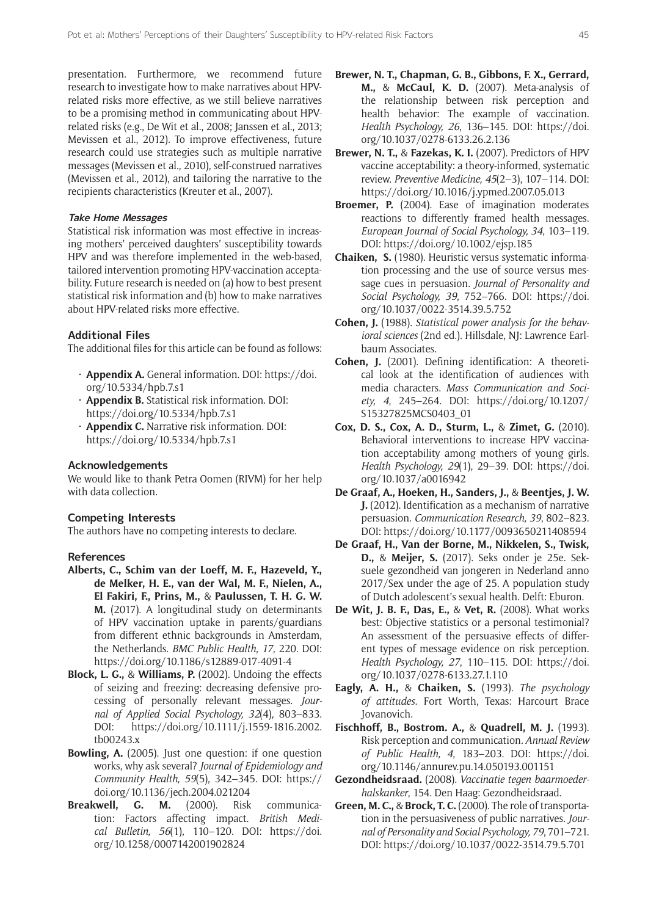presentation. Furthermore, we recommend future research to investigate how to make narratives about HPVrelated risks more effective, as we still believe narratives to be a promising method in communicating about HPVrelated risks (e.g., De Wit et al., 2008; Janssen et al., 2013; Mevissen et al., 2012). To improve effectiveness, future research could use strategies such as multiple narrative messages (Mevissen et al., 2010), self-construed narratives (Mevissen et al., 2012), and tailoring the narrative to the recipients characteristics (Kreuter et al., 2007).

# **Take Home Messages**

Statistical risk information was most effective in increasing mothers' perceived daughters' susceptibility towards HPV and was therefore implemented in the web-based, tailored intervention promoting HPV-vaccination acceptability. Future research is needed on (a) how to best present statistical risk information and (b) how to make narratives about HPV-related risks more effective.

#### **Additional Files**

The additional files for this article can be found as follows:

- • **Appendix A.** General information. DOI: [https://doi.](https://doi.org/10.5334/hpb.7.s1) [org/10.5334/hpb.7.s1](https://doi.org/10.5334/hpb.7.s1)
- • **Appendix B.** Statistical risk information. DOI: <https://doi.org/10.5334/hpb.7.s1>
- • **Appendix C.** Narrative risk information. DOI: <https://doi.org/10.5334/hpb.7.s1>

## **Acknowledgements**

We would like to thank Petra Oomen (RIVM) for her help with data collection.

# **Competing Interests**

The authors have no competing interests to declare.

# **References**

- **Alberts, C., Schim van der Loeff, M. F., Hazeveld, Y., de Melker, H. E., van der Wal, M. F., Nielen, A., El Fakiri, F., Prins, M.,** & **Paulussen, T. H. G. W. M.** (2017). A longitudinal study on determinants of HPV vaccination uptake in parents/guardians from different ethnic backgrounds in Amsterdam, the Netherlands. *BMC Public Health, 17*, 220. DOI: <https://doi.org/10.1186/s12889-017-4091-4>
- **Block, L. G.,** & **Williams, P.** (2002). Undoing the effects of seizing and freezing: decreasing defensive processing of personally relevant messages. *Journal of Applied Social Psychology, 32*(4), 803–833. DOI: [https://doi.org/10.1111/j.1559-1816.2002.](https://doi.org/10.1111/j.1559-1816.2002.tb00243.x) [tb00243.x](https://doi.org/10.1111/j.1559-1816.2002.tb00243.x)
- **Bowling, A.** (2005). Just one question: if one question works, why ask several? *Journal of Epidemiology and Community Health, 59*(5), 342–345. DOI: [https://](https://doi.org/10.1136/jech.2004.021204) [doi.org/10.1136/jech.2004.021204](https://doi.org/10.1136/jech.2004.021204)
- **Breakwell, G. M.** (2000). Risk communication: Factors affecting impact. *British Medical Bulletin, 56*(1), 110–120. DOI: [https://doi.](https://doi.org/10.1258/0007142001902824) [org/10.1258/0007142001902824](https://doi.org/10.1258/0007142001902824)
- **Brewer, N. T., Chapman, G. B., Gibbons, F. X., Gerrard, M.,** & **McCaul, K. D.** (2007). Meta-analysis of the relationship between risk perception and health behavior: The example of vaccination. *Health Psychology, 26*, 136–145. DOI: [https://doi.](https://doi.org/10.1037/0278-6133.26.2.136) [org/10.1037/0278-6133.26.2.136](https://doi.org/10.1037/0278-6133.26.2.136)
- **Brewer, N. T.,** & **Fazekas, K. I.** (2007). Predictors of HPV vaccine acceptability: a theory-informed, systematic review. *Preventive Medicine, 45*(2–3), 107–114. DOI: <https://doi.org/10.1016/j.ypmed.2007.05.013>
- **Broemer, P.** (2004). Ease of imagination moderates reactions to differently framed health messages. *European Journal of Social Psychology, 34*, 103–119. DOI: <https://doi.org/10.1002/ejsp.185>
- **Chaiken, S.** (1980). Heuristic versus systematic information processing and the use of source versus message cues in persuasion. *Journal of Personality and Social Psychology, 39*, 752–766. DOI: [https://doi.](https://doi.org/10.1037/0022-3514.39.5.752) [org/10.1037/0022-3514.39.5.752](https://doi.org/10.1037/0022-3514.39.5.752)
- **Cohen, J.** (1988). *Statistical power analysis for the behavioral sciences* (2nd ed.). Hillsdale, NJ: Lawrence Earlbaum Associates.
- **Cohen, J.** (2001). Defining identification: A theoretical look at the identification of audiences with media characters. *Mass Communication and Society, 4*, 245–264. DOI: [https://doi.org/10.1207/](https://doi.org/10.1207/S15327825MCS0403_01) [S15327825MCS0403\\_01](https://doi.org/10.1207/S15327825MCS0403_01)
- **Cox, D. S., Cox, A. D., Sturm, L.,** & **Zimet, G.** (2010). Behavioral interventions to increase HPV vaccination acceptability among mothers of young girls. *Health Psychology, 29*(1), 29–39. DOI: [https://doi.](https://doi.org/10.1037/a0016942) [org/10.1037/a0016942](https://doi.org/10.1037/a0016942)
- **De Graaf, A., Hoeken, H., Sanders, J.,** & **Beentjes, J. W. J.** (2012). Identification as a mechanism of narrative persuasion. *Communication Research, 39*, 802–823. DOI: <https://doi.org/10.1177/0093650211408594>
- **De Graaf, H., Van der Borne, M., Nikkelen, S., Twisk, D.,** & **Meijer, S.** (2017). Seks onder je 25e. Seksuele gezondheid van jongeren in Nederland anno 2017/Sex under the age of 25. A population study of Dutch adolescent's sexual health. Delft: Eburon.
- **De Wit, J. B. F., Das, E.,** & **Vet, R.** (2008). What works best: Objective statistics or a personal testimonial? An assessment of the persuasive effects of different types of message evidence on risk perception. *Health Psychology, 27*, 110–115. DOI: [https://doi.](https://doi.org/10.1037/0278-6133.27.1.110) [org/10.1037/0278-6133.27.1.110](https://doi.org/10.1037/0278-6133.27.1.110)
- **Eagly, A. H.,** & **Chaiken, S.** (1993). *The psychology of attitudes*. Fort Worth, Texas: Harcourt Brace Jovanovich.
- **Fischhoff, B., Bostrom. A.,** & **Quadrell, M. J.** (1993). Risk perception and communication. *Annual Review of Public Health, 4*, 183–203. DOI: [https://doi.](https://doi.org/10.1146/annurev.pu.14.050193.001151) [org/10.1146/annurev.pu.14.050193.001151](https://doi.org/10.1146/annurev.pu.14.050193.001151)
- **Gezondheidsraad.** (2008). *Vaccinatie tegen baarmoederhalskanker*, 154. Den Haag: Gezondheidsraad.
- **Green, M. C.,** & **Brock, T. C.** (2000). The role of transportation in the persuasiveness of public narratives. *Journal of Personality and Social Psychology, 79*, 701–721. DOI: <https://doi.org/10.1037/0022-3514.79.5.701>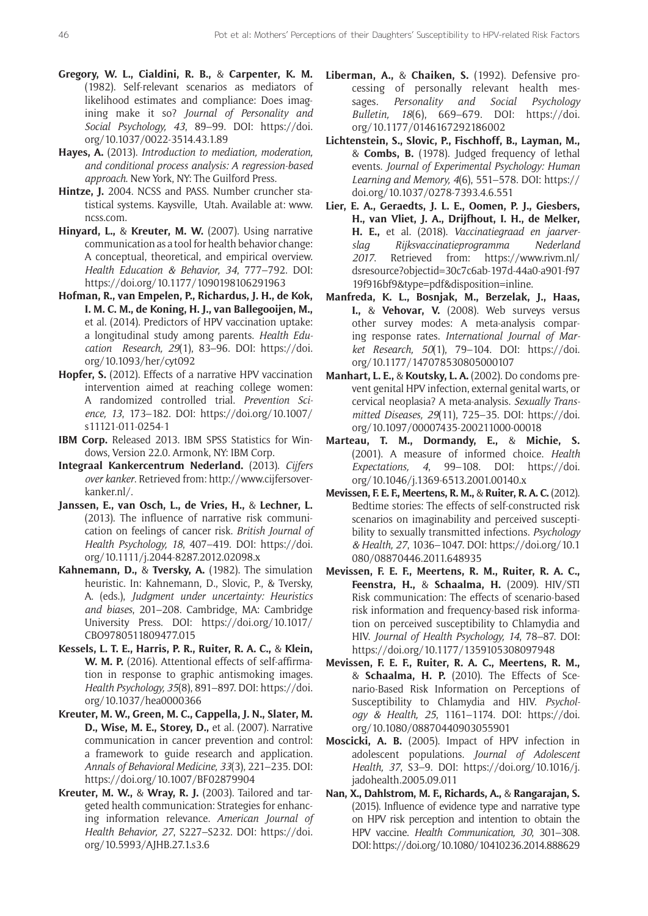- **Gregory, W. L., Cialdini, R. B.,** & **Carpenter, K. M.** (1982). Self-relevant scenarios as mediators of likelihood estimates and compliance: Does imagining make it so? *Journal of Personality and Social Psychology, 43*, 89–99. DOI: [https://doi.](https://doi.org/10.1037/0022-3514.43.1.89) [org/10.1037/0022-3514.43.1.89](https://doi.org/10.1037/0022-3514.43.1.89)
- **Hayes, A.** (2013). *Introduction to mediation, moderation, and conditional process analysis: A regression-based approach*. New York, NY: The Guilford Press.
- **Hintze, J.** 2004. NCSS and PASS. Number cruncher statistical systems. Kaysville, Utah. Available at: [www.](http://www.ncss.com) [ncss.com.](http://www.ncss.com)
- **Hinyard, L.,** & **Kreuter, M. W.** (2007). Using narrative communication as a tool for health behavior change: A conceptual, theoretical, and empirical overview. *Health Education & Behavior, 34*, 777–792. DOI: <https://doi.org/10.1177/1090198106291963>
- **Hofman, R., van Empelen, P., Richardus, J. H., de Kok, I. M. C. M., de Koning, H. J., van Ballegooijen, M.,**  et al. (2014). Predictors of HPV vaccination uptake: a longitudinal study among parents. *Health Education Research, 29*(1), 83–96. DOI: [https://doi.](https://doi.org/10.1093/her/cyt092) [org/10.1093/her/cyt092](https://doi.org/10.1093/her/cyt092)
- **Hopfer, S.** (2012). Effects of a narrative HPV vaccination intervention aimed at reaching college women: A randomized controlled trial. *Prevention Science, 13*, 173–182. DOI: [https://doi.org/10.1007/](https://doi.org/10.1007/s11121-011-0254-1) [s11121-011-0254-1](https://doi.org/10.1007/s11121-011-0254-1)
- **IBM Corp.** Released 2013. IBM SPSS Statistics for Windows, Version 22.0. Armonk, NY: IBM Corp.
- **Integraal Kankercentrum Nederland.** (2013). *Cijfers over kanker*. Retrieved from: [http://www.cijfersover](http://www.cijfersoverkanker.nl/)[kanker.nl/](http://www.cijfersoverkanker.nl/).
- **Janssen, E., van Osch, L., de Vries, H.,** & **Lechner, L.** (2013). The influence of narrative risk communication on feelings of cancer risk. *British Journal of Health Psychology, 18*, 407–419. DOI: [https://doi.](https://doi.org/10.1111/j.2044-8287.2012.02098.x) [org/10.1111/j.2044-8287.2012.02098.x](https://doi.org/10.1111/j.2044-8287.2012.02098.x)
- **Kahnemann, D.,** & **Tversky, A.** (1982). The simulation heuristic. In: Kahnemann, D., Slovic, P., & Tversky, A. (eds.), *Judgment under uncertainty: Heuristics and biases*, 201–208. Cambridge, MA: Cambridge University Press. DOI: [https://doi.org/10.1017/](https://doi.org/10.1017/CBO9780511809477.015) [CBO9780511809477.015](https://doi.org/10.1017/CBO9780511809477.015)
- **Kessels, L. T. E., Harris, P. R., Ruiter, R. A. C.,** & **Klein, W. M. P.** (2016). Attentional effects of self-affirmation in response to graphic antismoking images. *Health Psychology, 35*(8), 891–897. DOI: [https://doi.](https://doi.org/10.1037/hea0000366) [org/10.1037/hea0000366](https://doi.org/10.1037/hea0000366)
- **Kreuter, M. W., Green, M. C., Cappella, J. N., Slater, M. D., Wise, M. E., Storey, D.,** et al. (2007). Narrative communication in cancer prevention and control: a framework to guide research and application. *Annals of Behavioral Medicine, 33*(3), 221–235. DOI: <https://doi.org/10.1007/BF02879904>
- **Kreuter, M. W.,** & **Wray, R. J.** (2003). Tailored and targeted health communication: Strategies for enhancing information relevance. *American Journal of Health Behavior, 27*, S227–S232. DOI: [https://doi.](https://doi.org/10.5993/AJHB.27.1.s3.6) [org/10.5993/AJHB.27.1.s3.6](https://doi.org/10.5993/AJHB.27.1.s3.6)
- **Liberman, A.,** & **Chaiken, S.** (1992). Defensive processing of personally relevant health messages. *Personality and Social Psychology Bulletin, 18*(6), 669–679. DOI: [https://doi.](https://doi.org/10.1177/0146167292186002) [org/10.1177/0146167292186002](https://doi.org/10.1177/0146167292186002)
- **Lichtenstein, S., Slovic, P., Fischhoff, B., Layman, M.,**  & **Combs, B.** (1978). Judged frequency of lethal events. *Journal of Experimental Psychology: Human Learning and Memory, 4*(6), 551–578. DOI: [https://](https://doi.org/10.1037/0278-7393.4.6.551) [doi.org/10.1037/0278-7393.4.6.551](https://doi.org/10.1037/0278-7393.4.6.551)
- **Lier, E. A., Geraedts, J. L. E., Oomen, P. J., Giesbers, H., van Vliet, J. A., Drijfhout, I. H., de Melker, H. E.,** et al. (2018). *Vaccinatiegraad en jaarverslag Rijksvaccinatieprogramma Nederland 2017*. Retrieved from: [https://www.rivm.nl/](https://www.rivm.nl/dsresource?objectid=30c7c6ab-197d-44a0-a901-f9719f916bf9&type=pdf&disposition=inline) [dsresource?objectid=30c7c6ab-197d-44a0-a901-f97](https://www.rivm.nl/dsresource?objectid=30c7c6ab-197d-44a0-a901-f9719f916bf9&type=pdf&disposition=inline) [19f916bf9&type=pdf&disposition=inline.](https://www.rivm.nl/dsresource?objectid=30c7c6ab-197d-44a0-a901-f9719f916bf9&type=pdf&disposition=inline)
- **Manfreda, K. L., Bosnjak, M., Berzelak, J., Haas, I.,** & **Vehovar, V.** (2008). Web surveys versus other survey modes: A meta-analysis comparing response rates. *International Journal of Market Research, 50*(1), 79–104. DOI: [https://doi.](https://doi.org/10.1177/147078530805000107) [org/10.1177/147078530805000107](https://doi.org/10.1177/147078530805000107)
- **Manhart, L. E.,** & **Koutsky, L. A.** (2002). Do condoms prevent genital HPV infection, external genital warts, or cervical neoplasia? A meta-analysis. *Sexually Transmitted Diseases, 29*(11), 725–35. DOI: [https://doi.](https://doi.org/10.1097/00007435-200211000-00018) [org/10.1097/00007435-200211000-00018](https://doi.org/10.1097/00007435-200211000-00018)
- **Marteau, T. M., Dormandy, E.,** & **Michie, S.** (2001). A measure of informed choice. *Health Expectations, 4*, 99–108. DOI: [https://doi.](https://doi.org/10.1046/j.1369-6513.2001.00140.x) [org/10.1046/j.1369-6513.2001.00140.x](https://doi.org/10.1046/j.1369-6513.2001.00140.x)
- **Mevissen, F. E. F., Meertens, R. M.,** & **Ruiter, R. A. C.** (2012). Bedtime stories: The effects of self-constructed risk scenarios on imaginability and perceived susceptibility to sexually transmitted infections. *Psychology & Health, 27*, 1036–1047. DOI: [https://doi.org/10.1](https://doi.org/10.1080/08870446.2011.648935) [080/08870446.2011.648935](https://doi.org/10.1080/08870446.2011.648935)
- **Mevissen, F. E. F., Meertens, R. M., Ruiter, R. A. C., Feenstra, H.,** & **Schaalma, H.** (2009). HIV/STI Risk communication: The effects of scenario-based risk information and frequency-based risk information on perceived susceptibility to Chlamydia and HIV. *Journal of Health Psychology, 14*, 78–87. DOI: <https://doi.org/10.1177/1359105308097948>
- **Mevissen, F. E. F., Ruiter, R. A. C., Meertens, R. M.,**  & **Schaalma, H. P.** (2010). The Effects of Scenario-Based Risk Information on Perceptions of Susceptibility to Chlamydia and HIV. *Psychology & Health, 25*, 1161–1174. DOI: [https://doi.](https://doi.org/10.1080/08870440903055901) [org/10.1080/08870440903055901](https://doi.org/10.1080/08870440903055901)
- **Moscicki, A. B.** (2005). Impact of HPV infection in adolescent populations. *Journal of Adolescent Health, 37*, S3–9. DOI: [https://doi.org/10.1016/j.](https://doi.org/10.1016/j.jadohealth.2005.09.011) [jadohealth.2005.09.011](https://doi.org/10.1016/j.jadohealth.2005.09.011)
- **Nan, X., Dahlstrom, M. F., Richards, A.,** & **Rangarajan, S.** (2015). Influence of evidence type and narrative type on HPV risk perception and intention to obtain the HPV vaccine. *Health Communication, 30*, 301–308. DOI:<https://doi.org/10.1080/10410236.2014.888629>